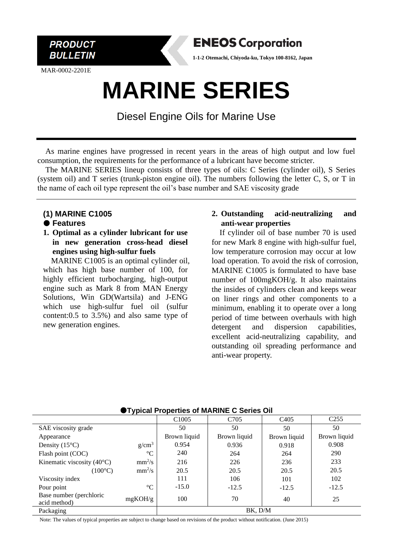

MAR-0002-2201E



**1-1-2 Otemachi, Chiyoda-ku, Tokyo 100-8162, Japan**

# **MARINE SERIES**

Diesel Engine Oils for Marine Use

As marine engines have progressed in recent years in the areas of high output and low fuel consumption, the requirements for the performance of a lubricant have become stricter.

The MARINE SERIES lineup consists of three types of oils: C Series (cylinder oil), S Series (system oil) and T series (trunk-piston engine oil). The numbers following the letter C, S, or T in the name of each oil type represent the oil's base number and SAE viscosity grade

## **(1) MARINE C1005**

#### **Features**

**1. Optimal as a cylinder lubricant for use in new generation cross-head diesel engines using high-sulfur fuels**

MARINE C1005 is an optimal cylinder oil, which has high base number of 100, for highly efficient turbocharging, high-output engine such as Mark 8 from MAN Energy Solutions, Win GD(Wartsila) and J-ENG which use high-sulfur fuel oil (sulfur content:0.5 to 3.5%) and also same type of new generation engines.

### **2. Outstanding acid-neutralizing and anti-wear properties**

If cylinder oil of base number 70 is used for new Mark 8 engine with high-sulfur fuel, low temperature corrosion may occur at low load operation. To avoid the risk of corrosion, MARINE C1005 is formulated to have base number of 100mgKOH/g. It also maintains the insides of cylinders clean and keeps wear on liner rings and other components to a minimum, enabling it to operate over a long period of time between overhauls with high detergent and dispersion capabilities, excellent acid-neutralizing capability, and outstanding oil spreading performance and anti-wear property.

| <b>Typical Properties of MARINE C Series Off</b> |                   |                   |                  |                   |                  |
|--------------------------------------------------|-------------------|-------------------|------------------|-------------------|------------------|
|                                                  |                   | C <sub>1005</sub> | C <sub>705</sub> | C <sub>4</sub> 05 | C <sub>255</sub> |
| SAE viscosity grade                              |                   | 50                | 50               | 50                | 50               |
| Appearance                                       |                   | Brown liquid      | Brown liquid     | Brown liquid      | Brown liquid     |
| Density $(15^{\circ}C)$                          | g/cm <sup>3</sup> | 0.954             | 0.936            | 0.918             | 0.908            |
| Flash point (COC)                                | $\rm ^{\circ}C$   | 240               | 264              | 264               | 290              |
| Kinematic viscosity $(40^{\circ}C)$              | $mm^2/s$          | 216               | 226              | 236               | 233              |
| $(100^{\circ}C)$                                 | $mm^2/s$          | 20.5              | 20.5             | 20.5              | 20.5             |
| Viscosity index                                  |                   | 111               | 106              | 101               | 102              |
| Pour point                                       | $\rm ^{\circ}C$   | $-15.0$           | $-12.5$          | $-12.5$           | $-12.5$          |
| Base number (perchloric<br>acid method)          | mgKOH/g           | 100               | 70               | 40                | 25               |
| Packaging                                        |                   |                   | BK, D/M          |                   |                  |

## **Typical Properties of MARINE C Series Oil**

Note: The values of typical properties are subject to change based on revisions of the product without notification. (June 2015)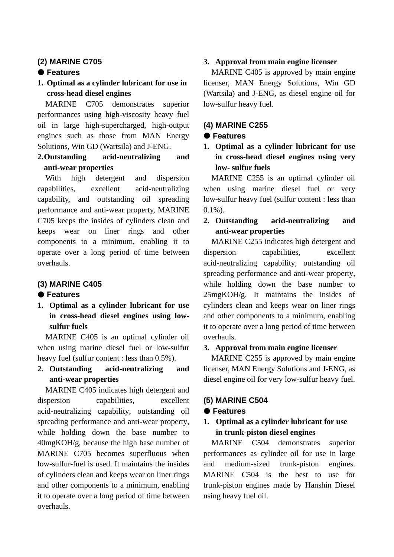## **(2) MARINE C705**

## **Features**

**1. Optimal as a cylinder lubricant for use in cross-head diesel engines**

MARINE C705 demonstrates superior performances using high-viscosity heavy fuel oil in large high-supercharged, high-output engines such as those from MAN Energy Solutions, Win GD (Wartsila) and J-ENG.

## **2.Outstanding acid-neutralizing and anti-wear properties**

With high detergent and dispersion capabilities, excellent acid-neutralizing capability, and outstanding oil spreading performance and anti-wear property, MARINE C705 keeps the insides of cylinders clean and keeps wear on liner rings and other components to a minimum, enabling it to operate over a long period of time between overhauls.

## **(3) MARINE C405**

## **Features**

**1. Optimal as a cylinder lubricant for use in cross-head diesel engines using lowsulfur fuels**

MARINE C405 is an optimal cylinder oil when using marine diesel fuel or low-sulfur heavy fuel (sulfur content : less than 0.5%).

**2. Outstanding acid-neutralizing and anti-wear properties** 

MARINE C405 indicates high detergent and dispersion capabilities, excellent acid-neutralizing capability, outstanding oil spreading performance and anti-wear property, while holding down the base number to 40mgKOH/g, because the high base number of MARINE C705 becomes superfluous when low-sulfur-fuel is used. It maintains the insides of cylinders clean and keeps wear on liner rings and other components to a minimum, enabling it to operate over a long period of time between overhauls.

## **3. Approval from main engine licenser**

MARINE C405 is approved by main engine licenser, MAN Energy Solutions, Win GD (Wartsila) and J-ENG, as diesel engine oil for low-sulfur heavy fuel.

## **(4) MARINE C255**

## **Features**

**1. Optimal as a cylinder lubricant for use in cross-head diesel engines using very low- sulfur fuels**

MARINE C255 is an optimal cylinder oil when using marine diesel fuel or very low-sulfur heavy fuel (sulfur content : less than 0.1%).

## **2. Outstanding acid-neutralizing and anti-wear properties**

MARINE C255 indicates high detergent and dispersion capabilities, excellent acid-neutralizing capability, outstanding oil spreading performance and anti-wear property, while holding down the base number to 25mgKOH/g. It maintains the insides of cylinders clean and keeps wear on liner rings and other components to a minimum, enabling it to operate over a long period of time between overhauls.

## **3. Approval from main engine licenser**

MARINE C255 is approved by main engine licenser, MAN Energy Solutions and J-ENG, as diesel engine oil for very low-sulfur heavy fuel.

## **(5) MARINE C504**

## **Features**

## **1. Optimal as a cylinder lubricant for use in trunk-piston diesel engines**

MARINE C504 demonstrates superior performances as cylinder oil for use in large and medium-sized trunk-piston engines. MARINE C504 is the best to use for trunk-piston engines made by Hanshin Diesel using heavy fuel oil.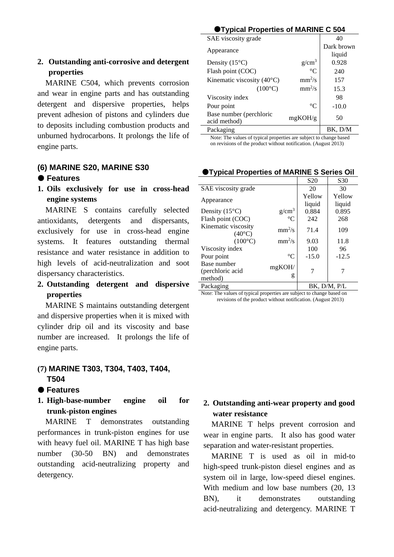## **2. Outstanding anti-corrosive and detergent properties**

MARINE C504, which prevents corrosion and wear in engine parts and has outstanding detergent and dispersive properties, helps prevent adhesion of pistons and cylinders due to deposits including combustion products and unburned hydrocarbons. It prolongs the life of engine parts.

## **(6) MARINE S20, MARINE S30**

- **Features**
- **1. Oils exclusively for use in cross-head engine systems**

MARINE S contains carefully selected antioxidants, detergents and dispersants, exclusively for use in cross-head engine systems. It features outstanding thermal resistance and water resistance in addition to high levels of acid-neutralization and soot dispersancy characteristics.

## **2. Outstanding detergent and dispersive properties**

MARINE S maintains outstanding detergent and dispersive properties when it is mixed with cylinder drip oil and its viscosity and base number are increased. It prolongs the life of engine parts.

## **(7) MARINE T303, T304, T403, T404, T504**

- **Features**
- **1. High-base-number engine oil for trunk-piston engines**

MARINE T demonstrates outstanding performances in trunk-piston engines for use with heavy fuel oil. MARINE T has high base number (30-50 BN) and demonstrates outstanding acid-neutralizing property and detergency.

| <b>OTypical Properties of MARINE C 504</b> |                 |                      |  |  |
|--------------------------------------------|-----------------|----------------------|--|--|
| SAE viscosity grade                        |                 | 40                   |  |  |
| Appearance                                 |                 | Dark brown<br>liquid |  |  |
| Density $(15^{\circ}C)$                    | $g/cm^3$        | 0.928                |  |  |
| Flash point (COC)                          | $^{\circ}C$     | 240                  |  |  |
| Kinematic viscosity $(40^{\circ}C)$        | $mm^2/s$        | 157                  |  |  |
| $(100^{\circ}C)$                           | $mm^2/s$        | 15.3                 |  |  |
| Viscosity index                            |                 | 98                   |  |  |
| Pour point                                 | $\rm ^{\circ}C$ | $-10.0$              |  |  |
| Base number (perchloric<br>acid method)    | mgKOH/g         | 50                   |  |  |
| Packaging                                  |                 | BK. D/M              |  |  |

Note: The values of typical properties are subject to change based on revisions of the product without notification. (August 2013)

|                         |             | S <sub>20</sub> | S <sub>30</sub> |
|-------------------------|-------------|-----------------|-----------------|
| SAE viscosity grade     |             | 20              | 30              |
|                         |             | Yellow          | Yellow          |
| Appearance              |             | liquid          | liquid          |
| Density $(15^{\circ}C)$ | $g/cm^3$    | 0.884           | 0.895           |
| Flash point (COC)       | $^{\circ}C$ | 242             | 268             |
| Kinematic viscosity     | $mm^2/s$    | 71.4            | 109             |
| $(40^{\circ}C)$         |             |                 |                 |
| $(100^{\circ}C)$        | $mm^2/s$    | 9.03            | 11.8            |
| Viscosity index         |             | 100             | 96              |
| Pour point              | $^{\circ}C$ | $-15.0$         | $-12.5$         |
| Base number             | mgKOH/      |                 |                 |
| (perchloric acid        |             |                 |                 |
| method)                 | g           |                 |                 |
| Packaging               |             |                 | BK. D/M. P/L    |

### **Typical Properties of MARINE S Series Oil**

Note: The values of typical properties are subject to change based on revisions of the product without notification. (August 2013)

## **2. Outstanding anti-wear property and good water resistance**

MARINE T helps prevent corrosion and wear in engine parts. It also has good water separation and water-resistant properties.

MARINE T is used as oil in mid-to high-speed trunk-piston diesel engines and as system oil in large, low-speed diesel engines. With medium and low base numbers (20, 13 BN), it demonstrates outstanding acid-neutralizing and detergency. MARINE T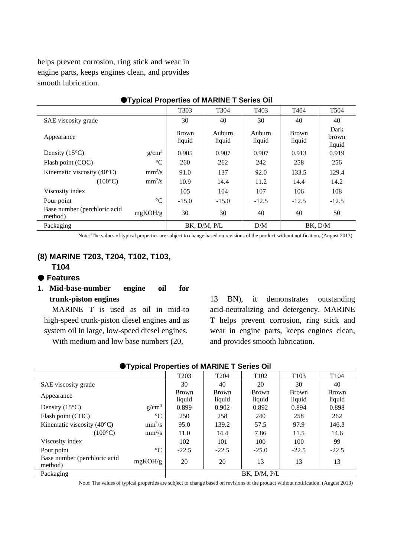helps prevent corrosion, ring stick and wear in engine parts, keeps engines clean, and provides smooth lubrication.

| <u>I Typical Floperies of MARINE T Series Off</u> |                   |                        |                  |                   |                        |                         |
|---------------------------------------------------|-------------------|------------------------|------------------|-------------------|------------------------|-------------------------|
|                                                   |                   | T <sub>30</sub> 3      | T <sub>304</sub> | T <sub>40</sub> 3 | T404                   | T <sub>504</sub>        |
| SAE viscosity grade                               |                   | 30                     | 40               | 30                | 40                     | 40                      |
| Appearance                                        |                   | <b>Brown</b><br>liquid | Auburn<br>liquid | Auburn<br>liquid  | <b>Brown</b><br>liquid | Dark<br>brown<br>liquid |
| Density $(15^{\circ}C)$                           | g/cm <sup>3</sup> | 0.905                  | 0.907            | 0.907             | 0.913                  | 0.919                   |
| Flash point (COC)                                 | $\rm ^{\circ}C$   | 260                    | 262              | 242               | 258                    | 256                     |
| Kinematic viscosity $(40^{\circ}C)$               | $mm^2/s$          | 91.0                   | 137              | 92.0              | 133.5                  | 129.4                   |
| $(100^{\circ}C)$                                  | $mm^2/s$          | 10.9                   | 14.4             | 11.2              | 14.4                   | 14.2                    |
| Viscosity index                                   |                   | 105                    | 104              | 107               | 106                    | 108                     |
| Pour point                                        | $\rm ^{\circ}C$   | $-15.0$                | $-15.0$          | $-12.5$           | $-12.5$                | $-12.5$                 |
| Base number (perchloric acid<br>method)           | mgKOH/g           | 30                     | 30               | 40                | 40                     | 50                      |
| Packaging                                         |                   |                        | BK, D/M, P/L     | D/M               |                        | BK, D/M                 |

## **Typical Properties of MARINE T Series Oil**

Note: The values of typical properties are subject to change based on revisions of the product without notification. (August 2013)

## **(8) MARINE T203, T204, T102, T103, T104**

## **Features**

## **1. Mid-base-number engine oil for trunk-piston engines**

MARINE T is used as oil in mid-to high-speed trunk-piston diesel engines and as system oil in large, low-speed diesel engines.

With medium and low base numbers (20,

13 BN), it demonstrates outstanding acid-neutralizing and detergency. MARINE T helps prevent corrosion, ring stick and wear in engine parts, keeps engines clean, and provides smooth lubrication.

| $\blacksquare$ i ypical i Toperues of MARTINE Troenes OII |                 |                  |                  |                  |                  |                  |
|-----------------------------------------------------------|-----------------|------------------|------------------|------------------|------------------|------------------|
|                                                           |                 | T <sub>203</sub> | T <sub>204</sub> | T <sub>102</sub> | T <sub>103</sub> | T <sub>104</sub> |
| SAE viscosity grade                                       |                 | 30               | 40               | 20               | 30               | 40               |
|                                                           |                 | <b>Brown</b>     | <b>Brown</b>     | <b>Brown</b>     | Brown            | <b>Brown</b>     |
| Appearance                                                |                 | liquid           | liquid           | liquid           | liquid           | liquid           |
| Density $(15^{\circ}C)$                                   | $g/cm^3$        | 0.899            | 0.902            | 0.892            | 0.894            | 0.898            |
| Flash point (COC)                                         | $\rm ^{\circ}C$ | 250              | 258              | 240              | 258              | 262              |
| Kinematic viscosity $(40^{\circ}C)$                       | $mm^2/s$        | 95.0             | 139.2            | 57.5             | 97.9             | 146.3            |
| $(100^{\circ}C)$                                          | $mm^2/s$        | 11.0             | 14.4             | 7.86             | 11.5             | 14.6             |
| Viscosity index                                           |                 | 102              | 101              | 100              | 100              | 99               |
| Pour point                                                | $\rm ^{\circ}C$ | $-22.5$          | $-22.5$          | $-25.0$          | $-22.5$          | $-22.5$          |
| Base number (perchloric acid<br>method)                   | mgKOH/g         | 20               | 20               | 13               | 13               | 13               |
| Packaging                                                 |                 |                  |                  | BK. D/M. P/L     |                  |                  |

## **Typical Properties of MARINE T Series Oil**

Note: The values of typical properties are subject to change based on revisions of the product without notification. (August 2013)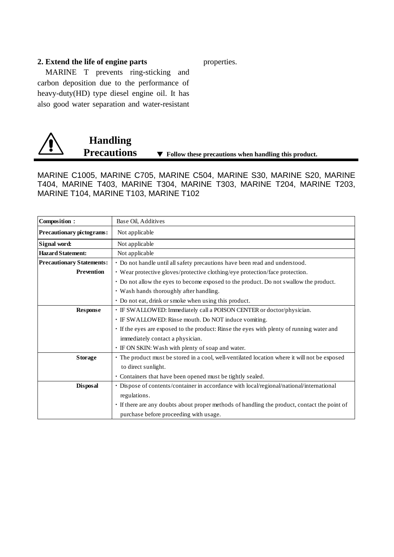#### **2. Extend the life of engine parts**

MARINE T prevents ring-sticking and carbon deposition due to the performance of heavy-duty(HD) type diesel engine oil. It has also good water separation and water-resistant



MARINE C1005, MARINE C705, MARINE C504, MARINE S30, MARINE S20, MARINE T404, MARINE T403, MARINE T304, MARINE T303, MARINE T204, MARINE T203, MARINE T104, MARINE T103, MARINE T102

| Composition:                     | Base Oil, Additives                                                                           |  |  |
|----------------------------------|-----------------------------------------------------------------------------------------------|--|--|
| Precautionary pictograms:        | Not applicable                                                                                |  |  |
| Signal word:                     | Not applicable                                                                                |  |  |
| <b>Hazard Statement:</b>         | Not applicable                                                                                |  |  |
| <b>Precautionary Statements:</b> | · Do not handle until all safety precautions have been read and understood.                   |  |  |
| <b>Prevention</b>                | • Wear protective gloves/protective clothing/eye protection/face protection.                  |  |  |
|                                  | • Do not allow the eyes to become exposed to the product. Do not swallow the product.         |  |  |
|                                  | • Wash hands thoroughly after handling.                                                       |  |  |
|                                  | · Do not eat, drink or smoke when using this product.                                         |  |  |
| Response                         | · IF SWALLOWED: Immediately call a POISON CENTER or doctor/physician.                         |  |  |
|                                  | · IF SWALLOWED: Rinse mouth. Do NOT induce vomiting.                                          |  |  |
|                                  | If the eyes are exposed to the product: Rinse the eyes with plenty of running water and       |  |  |
|                                  | immediately contact a physician.                                                              |  |  |
|                                  | • IF ON SKIN: Wash with plenty of soap and water.                                             |  |  |
| <b>Storage</b>                   | • The product must be stored in a cool, well-ventilated location where it will not be exposed |  |  |
|                                  | to direct sunlight.                                                                           |  |  |
|                                  | • Containers that have been opened must be tightly sealed.                                    |  |  |
| <b>Disposal</b>                  | · Dispose of contents/container in accordance with local/regional/national/international      |  |  |
|                                  | regulations.                                                                                  |  |  |
|                                  | • If there are any doubts about proper methods of handling the product, contact the point of  |  |  |
|                                  | purchase before proceeding with usage.                                                        |  |  |

properties.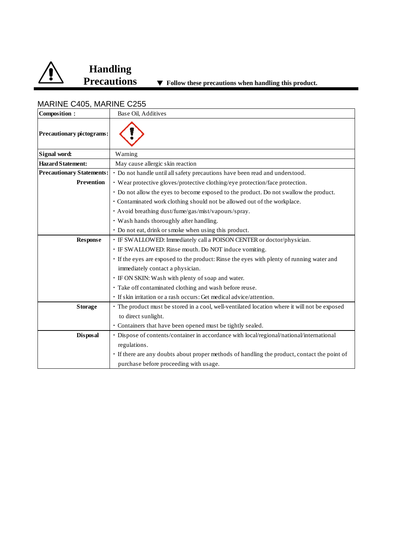

## **Handling**

| Composition:                     | Base Oil, Additives                                                                           |
|----------------------------------|-----------------------------------------------------------------------------------------------|
| <b>Precautionary pictograms:</b> |                                                                                               |
| Signal word:                     | Warning                                                                                       |
| <b>Hazard Statement:</b>         | May cause allergic skin reaction                                                              |
| <b>Precautionary Statements:</b> | · Do not handle until all safety precautions have been read and understood.                   |
| <b>Prevention</b>                | • Wear protective gloves/protective clothing/eye protection/face protection.                  |
|                                  | • Do not allow the eyes to become exposed to the product. Do not swallow the product.         |
|                                  | · Contaminated work clothing should not be allowed out of the workplace.                      |
|                                  | · Avoid breathing dust/fume/gas/mist/vapours/spray.                                           |
|                                  | · Wash hands thoroughly after handling.                                                       |
|                                  | · Do not eat, drink or smoke when using this product.                                         |
| <b>Response</b>                  | · IF SWALLOWED: Immediately call a POISON CENTER or doctor/physician.                         |
|                                  | · IF SWALLOWED: Rinse mouth. Do NOT induce vomiting.                                          |
|                                  | · If the eyes are exposed to the product: Rinse the eyes with plenty of running water and     |
|                                  | immediately contact a physician.                                                              |
|                                  | • IF ON SKIN: Wash with plenty of soap and water.                                             |
|                                  | · Take off contaminated clothing and wash before reuse.                                       |
|                                  | · If skin irritation or a rash occurs: Get medical advice/attention.                          |
| <b>Storage</b>                   | • The product must be stored in a cool, well-ventilated location where it will not be exposed |
|                                  | to direct sunlight.                                                                           |
|                                  | · Containers that have been opened must be tightly sealed.                                    |
| <b>Disposal</b>                  | · Dispose of contents/container in accordance with local/regional/national/international      |
|                                  | regulations.                                                                                  |
|                                  | · If there are any doubts about proper methods of handling the product, contact the point of  |
|                                  | purchase before proceeding with usage.                                                        |

## MARINE C405, MARINE C255